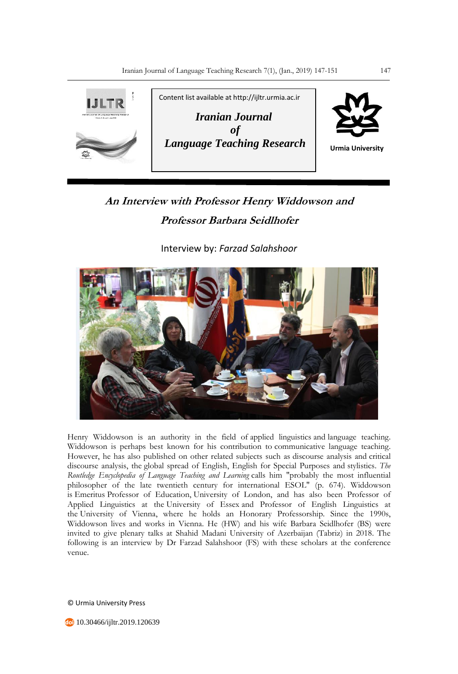

## **An Interview with Professor Henry Widdowson and Professor Barbara Seidlhofer**

Interview by: *Farzad Salahshoor*



Henry Widdowson is an authority in the field of applied linguistics and language teaching. Widdowson is perhaps best known for his contribution to communicative language teaching. However, he has also published on other related subjects such as discourse analysis and critical discourse analysis, the global spread of English, English for Special Purposes and stylistics. *The Routledge Encyclopedia of Language Teaching and Learning* calls him "probably the most influential philosopher of the late twentieth century for international ESOL" (p. 674). Widdowson is Emeritus Professor of Education, University of London, and has also been Professor of Applied Linguistics at the University of Essex and Professor of English Linguistics at the University of Vienna, where he holds an Honorary Professorship. Since the 1990s, Widdowson lives and works in Vienna. He (HW) and his wife Barbara Seidlhofer (BS) were invited to give plenary talks at Shahid Madani University of Azerbaijan (Tabriz) in 2018. The following is an interview by Dr Farzad Salahshoor (FS) with these scholars at the conference venue.

© Urmia University Press

10.30466/ijltr.2019.120639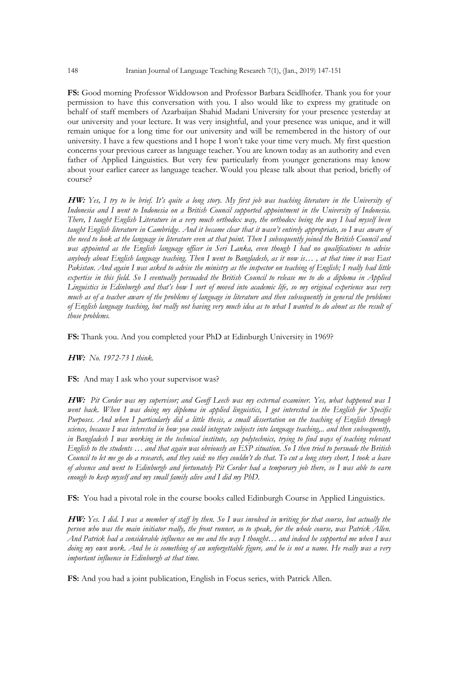**FS:** Good morning Professor Widdowson and Professor Barbara Seidlhofer. Thank you for your permission to have this conversation with you. I also would like to express my gratitude on behalf of staff members of Azarbaijan Shahid Madani University for your presence yesterday at our university and your lecture. It was very insightful, and your presence was unique, and it will remain unique for a long time for our university and will be remembered in the history of our university. I have a few questions and I hope I won't take your time very much. My first question concerns your previous career as language teacher. You are known today as an authority and even father of Applied Linguistics. But very few particularly from younger generations may know about your earlier career as language teacher. Would you please talk about that period, briefly of course?

**HW:** *Yes, I try to be brief. It's quite a long story. My first job was teaching literature in the University of Indonesia and I went to Indonesia on a British Council supported appointment in the University of Indonesia. There, I taught English Literature in a very much orthodox way, the orthodox being the way I had myself been taught English literature in Cambridge. And it became clear that it wasn't entirely appropriate, so I was aware of the need to look at the language in literature even at that point. Then I subsequently joined the British Council and was appointed as the English language officer in Seri Lanka, even though I had no qualifications to advise anybody about English language teaching. Then I went to Bangladesh, as it now is… , at that time it was East Pakistan. And again I was asked to advise the ministry as the inspector on teaching of English; I really had little expertise in this field. So I eventually persuaded the British Council to release me to do a diploma in Applied Linguistics in Edinburgh and that's how I sort of moved into academic life, so my original experience was very much as of a teacher aware of the problems of language in literature and then subsequently in general the problems of English language teaching, but really not having very much idea as to what I wanted to do about as the result of those problems.*

**FS:** Thank you. And you completed your PhD at Edinburgh University in 1969?

**HW:** *No. 1972-73 I think.*

**FS:** And may I ask who your supervisor was?

**HW:** *Pit Corder was my supervisor; and Geoff Leech was my external examiner. Yes, what happened was I went back. When I was doing my diploma in applied linguistics, I got interested in the English for Specific Purposes. And when I particularly did a little thesis, a small dissertation on the teaching of English through science, because I was interested in how you could integrate subjects into language teaching,.. and then subsequently, in Bangladesh I was working in the technical institute, say polytechnics, trying to find ways of teaching relevant English to the students … and that again was obviously an ESP situation. So I then tried to persuade the British Council to let me go do a research, and they said: no they couldn't do that. To cut a long story short, I took a leave of absence and went to Edinburgh and fortunately Pit Corder had a temporary job there, so I was able to earn enough to keep myself and my small family alive and I did my PhD.*

**FS:** You had a pivotal role in the course books called Edinburgh Course in Applied Linguistics.

**HW:** *Yes. I did. I was a member of staff by then. So I was involved in writing for that course, but actually the person who was the main initiator really, the front runner, so to speak, for the whole course, was Patrick Allen. And Patrick had a considerable influence on me and the way I thought… and indeed he supported me when I was doing my own work. And he is something of an unforgettable figure, and he is not a name. He really was a very important influence in Edinburgh at that time.*

**FS:** And you had a joint publication, English in Focus series, with Patrick Allen.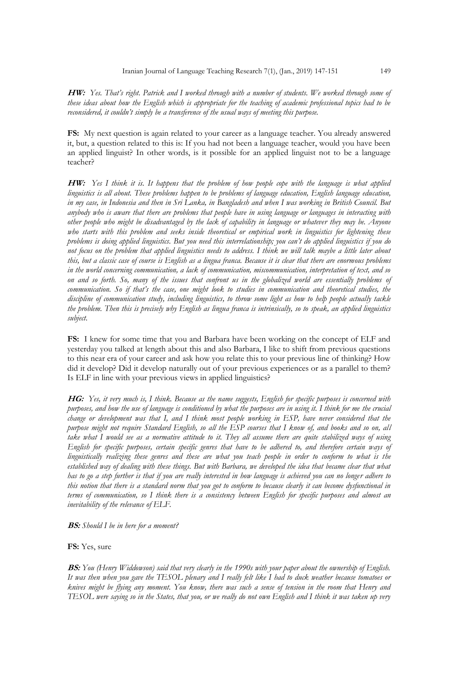**HW:** *Yes. That's right. Patrick and I worked through with a number of students. We worked through some of these ideas about how the English which is appropriate for the teaching of academic professional topics had to be reconsidered, it couldn't simply be a transference of the usual ways of meeting this purpose.*

**FS:** My next question is again related to your career as a language teacher. You already answered it, but, a question related to this is: If you had not been a language teacher, would you have been an applied linguist? In other words, is it possible for an applied linguist not to be a language teacher?

**HW:** *Yes I think it is. It happens that the problem of how people cope with the language is what applied linguistics is all about. These problems happen to be problems of language education, English language education, in my case, in Indonesia and then in Sri Lanka, in Bangladesh and when I was working in British Council. But anybody who is aware that there are problems that people have in using language or languages in interacting with other people who might be disadvantaged by the lack of capability in language or whatever they may be. Anyone who starts with this problem and seeks inside theoretical or empirical work in linguistics for lightening these problems is doing applied linguistics. But you need this interrelationship; you can't do applied linguistics if you do not focus on the problem that applied linguistics needs to address. I think we will talk maybe a little later about this, but a classic case of course is English as a lingua franca. Because it is clear that there are enormous problems in the world concerning communication, a lack of communication, miscommunication, interpretation of text, and so on and so forth. So, many of the issues that confront us in the globalized world are essentially problems of communication. So if that's the case, one might look to studies in communication and theoretical studies, the discipline of communication study, including linguistics, to throw some light as how to help people actually tackle the problem. Then this is precisely why English as lingua franca is intrinsically, so to speak, an applied linguistics subject.*

**FS:** I knew for some time that you and Barbara have been working on the concept of ELF and yesterday you talked at length about this and also Barbara, I like to shift from previous questions to this near era of your career and ask how you relate this to your previous line of thinking? How did it develop? Did it develop naturally out of your previous experiences or as a parallel to them? Is ELF in line with your previous views in applied linguistics?

**HG:** *Yes, it very much is, I think. Because as the name suggests, English for specific purposes is concerned with purposes, and how the use of language is conditioned by what the purposes are in using it. I think for me the crucial change or development was that I, and I think most people working in ESP, have never considered that the purpose might not require Standard English, so all the ESP courses that I know of, and books and so on, all take what I would see as a normative attitude to it. They all assume there are quite stabilized ways of using English for specific purposes, certain specific genres that have to be adhered to, and therefore certain ways of linguistically realizing these genres and these are what you teach people in order to conform to what is the*  established way of dealing with these things. But with Barbara, we developed the idea that became clear that what *has to go a step further is that if you are really interested in how language is achieved you can no longer adhere to this notion that there is a standard norm that you got to conform to because clearly it can become dysfunctional in terms of communication, so I think there is a consistency between English for specific purposes and almost an inevitability of the relevance of ELF.*

**BS:** *Should I be in here for a moment?*

**FS:** Yes, sure

**BS:** *You (Henry Widdowson) said that very clearly in the 1990s with your paper about the ownership of English. It was then when you gave the TESOL plenary and I really felt like I had to duck weather because tomatoes or knives might be flying any moment. You know, there was such a sense of tension in the room that Henry and TESOL were saying so in the States, that you, or we really do not own English and I think it was taken up very*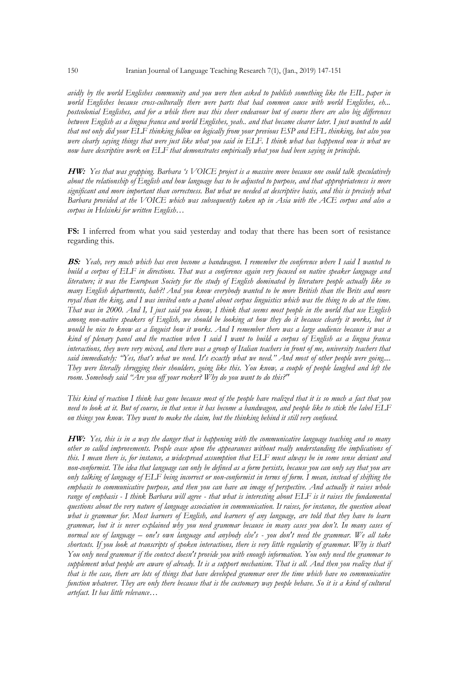*avidly by the world Englishes community and you were then asked to publish something like the EIL paper in world Englishes because cross-culturally there were parts that had common cause with world Englishes, eh... postcolonial Englishes, and for a while there was this sheer endeavour but of course there are also big differences between English as a lingua franca and world Englishes, yeah.. and that became clearer later. I just wanted to add that not only did your ELF thinking follow on logically from your previous ESP and EFL thinking, but also you were clearly saying things that were just like what you said in ELF. I think what has happened now is what we now have descriptive work on ELF that demonstrates empirically what you had been saying in principle.*

**HW:** *Yes that was grapping. Barbara 's VOICE project is a massive move because one could talk speculatively about the relationship of English and how language has to be adjusted to purpose, and that appropriateness is more significant and more important than correctness. But what we needed at descriptive basis, and this is precisely what Barbara provided at the VOICE which was subsequently taken up in Asia with the ACE corpus and also a corpus in Helsinki for written English…*

**FS:** I inferred from what you said yesterday and today that there has been sort of resistance regarding this.

**BS:** *Yeah, very much which has even become a bandwagon. I remember the conference where I said I wanted to build a corpus of ELF in directions. That was a conference again very focused on native speaker language and literature; it was the European Society for the study of English dominated by literature people actually like so many English departments, hah?! And you know everybody wanted to be more British than the Brits and more royal than the king, and I was invited onto a panel about corpus linguistics which was the thing to do at the time. That was in 2000. And I, I just said you know, I think that seems most people in the world that use English*  among non-native speakers of English, we should be looking at how they do it because clearly it works, but it *would be nice to know as a linguist how it works. And I remember there was a large audience because it was a kind of plenary panel and the reaction when I said I want to build a corpus of English as a lingua franca interactions, they were very mixed, and there was a group of Italian teachers in front of me, university teachers that said immediately: "Yes, that's what we need. It's exactly what we need." And most of other people were going.... They were literally shrugging their shoulders, going like this. You know, a couple of people laughed and left the room. Somebody said "Are you off your rocker? Why do you want to do this?"* 

*This kind of reaction I think has gone because most of the people have realized that it is so much a fact that you need to look at it. But of course, in that sense it has become a bandwagon, and people like to stick the label ELF on things you know. They want to make the claim, but the thinking behind it still very confused.*

**HW:** *Yes, this is in a way the danger that is happening with the communicative language teaching and so many other so called improvements. People cease upon the appearances without really understanding the implications of this. I mean there is, for instance, a widespread assumption that ELF must always be in some sense deviant and non-conformist. The idea that language can only be defined as a form persists, because you can only say that you are only talking of language of ELF being incorrect or non-conformist in terms of form. I mean, instead of shifting the emphasis to communicative purpose, and then you can have an image of perspective. And actually it raises whole range of emphasis - I think Barbara will agree - that what is interesting about ELF is it raises the fundamental questions about the very nature of language association in communication. It raises, for instance, the question about what is grammar for. Most learners of English, and learners of any language, are told that they have to learn grammar, but it is never explained why you need grammar because in many cases you don't. In many cases of normal use of language – one's own language and anybody else's - you don't need the grammar. We all take shortcuts. If you look at transcripts of spoken interactions, there is very little regularity of grammar. Why is that? You only need grammar if the context doesn't provide you with enough information. You only need the grammar to supplement what people are aware of already. It is a support mechanism. That is all. And then you realize that if that is the case, there are lots of things that have developed grammar over the time which have no communicative function whatever. They are only there because that is the customary way people behave. So it is a kind of cultural artefact. It has little relevance…*